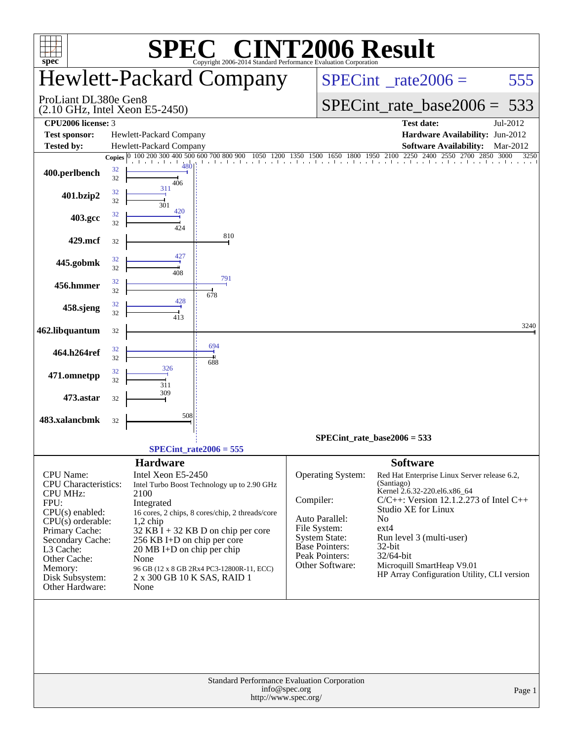| <b>INT2006 Result</b><br>$\mathbf{C}^{\mathbb{C}}$<br>spec <sup>®</sup><br>Copyright 2006-2014 Standard Performance Evaluation Corporation                                                                                                 |                                                                                                                                                                                                                                                                                                                                                                            |                                                                                                                                                                                                                                                                                                                                                                                                                                                                                                     |  |  |  |  |  |  |  |  |
|--------------------------------------------------------------------------------------------------------------------------------------------------------------------------------------------------------------------------------------------|----------------------------------------------------------------------------------------------------------------------------------------------------------------------------------------------------------------------------------------------------------------------------------------------------------------------------------------------------------------------------|-----------------------------------------------------------------------------------------------------------------------------------------------------------------------------------------------------------------------------------------------------------------------------------------------------------------------------------------------------------------------------------------------------------------------------------------------------------------------------------------------------|--|--|--|--|--|--|--|--|
|                                                                                                                                                                                                                                            | <b>Hewlett-Packard Company</b>                                                                                                                                                                                                                                                                                                                                             | $SPECint^{\circ}$ rate $2006 =$<br>555                                                                                                                                                                                                                                                                                                                                                                                                                                                              |  |  |  |  |  |  |  |  |
| ProLiant DL380e Gen8                                                                                                                                                                                                                       | $(2.10 \text{ GHz}, \text{Intel Xeon } E5-2450)$                                                                                                                                                                                                                                                                                                                           | $SPECint_rate_base2006 =$<br>533                                                                                                                                                                                                                                                                                                                                                                                                                                                                    |  |  |  |  |  |  |  |  |
| CPU2006 license: 3<br><b>Test sponsor:</b>                                                                                                                                                                                                 | Hewlett-Packard Company                                                                                                                                                                                                                                                                                                                                                    | <b>Test date:</b><br>Jul-2012<br>Hardware Availability: Jun-2012                                                                                                                                                                                                                                                                                                                                                                                                                                    |  |  |  |  |  |  |  |  |
| <b>Tested by:</b>                                                                                                                                                                                                                          | Hewlett-Packard Company                                                                                                                                                                                                                                                                                                                                                    | <b>Software Availability:</b><br>Mar-2012                                                                                                                                                                                                                                                                                                                                                                                                                                                           |  |  |  |  |  |  |  |  |
| 400.perlbench                                                                                                                                                                                                                              | 100 200 300 400 500 600 700 800 900<br>1050<br><b>Copies</b><br>32<br>32<br>406<br>311<br>32                                                                                                                                                                                                                                                                               | 2250<br>2400<br>1800 1950 2100<br>2550<br>2850<br>1500<br>1650<br>2700<br>3000<br>3250<br>a a basalasa basalasa basalasa basala                                                                                                                                                                                                                                                                                                                                                                     |  |  |  |  |  |  |  |  |
| 401.bzip2                                                                                                                                                                                                                                  | 32<br>301<br>420<br>32                                                                                                                                                                                                                                                                                                                                                     |                                                                                                                                                                                                                                                                                                                                                                                                                                                                                                     |  |  |  |  |  |  |  |  |
| 403.gcc                                                                                                                                                                                                                                    | 32<br>424<br>810                                                                                                                                                                                                                                                                                                                                                           |                                                                                                                                                                                                                                                                                                                                                                                                                                                                                                     |  |  |  |  |  |  |  |  |
| 429.mcf                                                                                                                                                                                                                                    | 32<br>427                                                                                                                                                                                                                                                                                                                                                                  |                                                                                                                                                                                                                                                                                                                                                                                                                                                                                                     |  |  |  |  |  |  |  |  |
| 445.gobmk                                                                                                                                                                                                                                  | 32<br>32<br>408<br>791                                                                                                                                                                                                                                                                                                                                                     |                                                                                                                                                                                                                                                                                                                                                                                                                                                                                                     |  |  |  |  |  |  |  |  |
| 456.hmmer                                                                                                                                                                                                                                  | 32<br>32<br>678<br>428                                                                                                                                                                                                                                                                                                                                                     |                                                                                                                                                                                                                                                                                                                                                                                                                                                                                                     |  |  |  |  |  |  |  |  |
| 458.sjeng                                                                                                                                                                                                                                  | 32<br>32                                                                                                                                                                                                                                                                                                                                                                   |                                                                                                                                                                                                                                                                                                                                                                                                                                                                                                     |  |  |  |  |  |  |  |  |
| 462.libquantum                                                                                                                                                                                                                             | 32<br>694                                                                                                                                                                                                                                                                                                                                                                  | 3240                                                                                                                                                                                                                                                                                                                                                                                                                                                                                                |  |  |  |  |  |  |  |  |
| 464.h264ref                                                                                                                                                                                                                                | 32<br>32<br>688<br>326                                                                                                                                                                                                                                                                                                                                                     |                                                                                                                                                                                                                                                                                                                                                                                                                                                                                                     |  |  |  |  |  |  |  |  |
| 471.omnetpp                                                                                                                                                                                                                                | 32<br>32<br>311                                                                                                                                                                                                                                                                                                                                                            |                                                                                                                                                                                                                                                                                                                                                                                                                                                                                                     |  |  |  |  |  |  |  |  |
| 473.astar                                                                                                                                                                                                                                  | 309<br>32                                                                                                                                                                                                                                                                                                                                                                  |                                                                                                                                                                                                                                                                                                                                                                                                                                                                                                     |  |  |  |  |  |  |  |  |
| 483.xalancbmk                                                                                                                                                                                                                              | 508<br>32                                                                                                                                                                                                                                                                                                                                                                  |                                                                                                                                                                                                                                                                                                                                                                                                                                                                                                     |  |  |  |  |  |  |  |  |
|                                                                                                                                                                                                                                            | $SPECint_rate2006 = 555$                                                                                                                                                                                                                                                                                                                                                   | $SPECint_rate_base2006 = 533$                                                                                                                                                                                                                                                                                                                                                                                                                                                                       |  |  |  |  |  |  |  |  |
| <b>CPU</b> Name:<br><b>CPU</b> Characteristics:<br><b>CPU MHz:</b><br>FPU:<br>$CPU(s)$ enabled:<br>$CPU(s)$ orderable:<br>Primary Cache:<br>Secondary Cache:<br>L3 Cache:<br>Other Cache:<br>Memory:<br>Disk Subsystem:<br>Other Hardware: | <b>Hardware</b><br>Intel Xeon E5-2450<br>Intel Turbo Boost Technology up to 2.90 GHz<br>2100<br>Integrated<br>16 cores, 2 chips, 8 cores/chip, 2 threads/core<br>$1,2$ chip<br>32 KB I + 32 KB D on chip per core<br>256 KB I+D on chip per core<br>20 MB I+D on chip per chip<br>None<br>96 GB (12 x 8 GB 2Rx4 PC3-12800R-11, ECC)<br>2 x 300 GB 10 K SAS, RAID 1<br>None | <b>Software</b><br>Operating System:<br>Red Hat Enterprise Linux Server release 6.2,<br>(Santiago)<br>Kernel 2.6.32-220.el6.x86_64<br>$C/C++$ : Version 12.1.2.273 of Intel $C++$<br>Compiler:<br><b>Studio XE for Linux</b><br>Auto Parallel:<br>No.<br>File System:<br>$ext{4}$<br><b>System State:</b><br>Run level 3 (multi-user)<br>Base Pointers:<br>$32$ -bit<br>Peak Pointers:<br>32/64-bit<br>Other Software:<br>Microquill SmartHeap V9.01<br>HP Array Configuration Utility, CLI version |  |  |  |  |  |  |  |  |
|                                                                                                                                                                                                                                            |                                                                                                                                                                                                                                                                                                                                                                            | Standard Performance Evaluation Corporation<br>info@spec.org<br>Page 1<br>http://www.spec.org/                                                                                                                                                                                                                                                                                                                                                                                                      |  |  |  |  |  |  |  |  |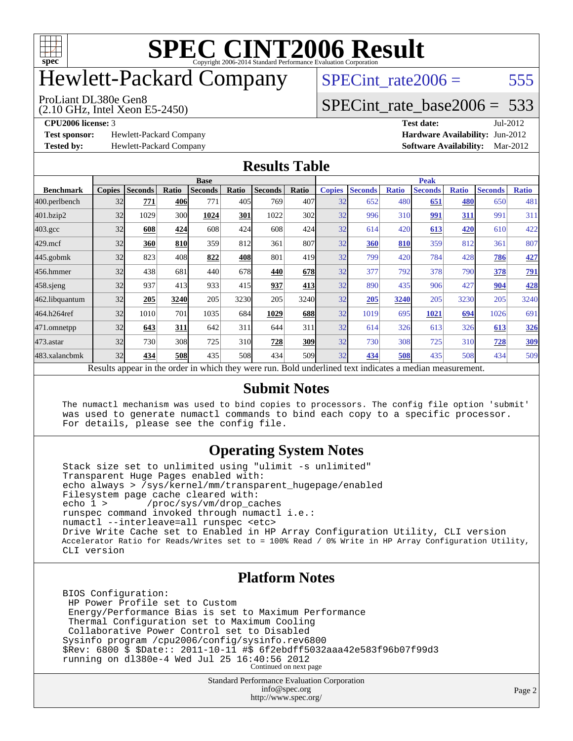

# Hewlett-Packard Company

(2.10 GHz, Intel Xeon E5-2450) ProLiant DL380e Gen8

SPECint rate $2006 = 555$ 

### [SPECint\\_rate\\_base2006 =](http://www.spec.org/auto/cpu2006/Docs/result-fields.html#SPECintratebase2006) 533

**[Test sponsor:](http://www.spec.org/auto/cpu2006/Docs/result-fields.html#Testsponsor)** Hewlett-Packard Company **[Hardware Availability:](http://www.spec.org/auto/cpu2006/Docs/result-fields.html#HardwareAvailability)** Jun-2012

**[CPU2006 license:](http://www.spec.org/auto/cpu2006/Docs/result-fields.html#CPU2006license)** 3 **[Test date:](http://www.spec.org/auto/cpu2006/Docs/result-fields.html#Testdate)** Jul-2012 **[Tested by:](http://www.spec.org/auto/cpu2006/Docs/result-fields.html#Testedby)** Hewlett-Packard Company **[Software Availability:](http://www.spec.org/auto/cpu2006/Docs/result-fields.html#SoftwareAvailability)** Mar-2012

#### **[Results Table](http://www.spec.org/auto/cpu2006/Docs/result-fields.html#ResultsTable)**

|                                                                                                          | <b>Base</b>   |                |            |                |                 |                |       | <b>Peak</b>   |                |              |                |              |                |              |
|----------------------------------------------------------------------------------------------------------|---------------|----------------|------------|----------------|-----------------|----------------|-------|---------------|----------------|--------------|----------------|--------------|----------------|--------------|
| <b>Benchmark</b>                                                                                         | <b>Copies</b> | <b>Seconds</b> | Ratio      | <b>Seconds</b> | Ratio           | <b>Seconds</b> | Ratio | <b>Copies</b> | <b>Seconds</b> | <b>Ratio</b> | <b>Seconds</b> | <b>Ratio</b> | <b>Seconds</b> | <b>Ratio</b> |
| 400.perlbench                                                                                            | 32            | 771            | 406        | 771            | 405I            | 769            | 407   | 32            | 652            | 480          | 651            | 480          | 650            | 481          |
| 401.bzip2                                                                                                | 32            | 1029           | 300        | 1024           | 301             | 1022           | 302   | 32            | 996            | 310          | 991            | 311          | 991            | 311          |
| $403.\mathrm{gcc}$                                                                                       | 32            | 608            | 424        | 608            | 424             | 608            | 424   | 32            | 614            | 420          | 613            | 420          | 610            | 422          |
| $429$ .mcf                                                                                               | 32            | 360            | 810        | 359            | 812             | 361            | 807   | 32            | 360            | 810          | 359            | 812          | 361            | 807          |
| $445$ .gobmk                                                                                             | 32            | 823            | 408        | 822            | 408             | 801            | 419   | 32            | 799            | 420          | 784            | 428          | 786            | 427          |
| 456.hmmer                                                                                                | 32            | 438            | 681        | 440            | 678             | 440            | 678   | 32            | 377            | 792          | 378            | 790          | 378            | <u>791</u>   |
| $458$ .sjeng                                                                                             | 32            | 937            | 413        | 933            | 415             | 937            | 413   | 32            | 890            | 435          | 906            | 427          | 904            | 428          |
| 462.libquantum                                                                                           | 32            | 205            | 3240       | 205            | 3230            | 205            | 3240  | 32            | 205            | 3240         | 205            | 3230         | 205            | 3240         |
| 464.h264ref                                                                                              | 32            | 1010           | 701        | 1035           | 684             | 1029           | 688   | 32            | 1019           | 695          | 1021           | 694          | 1026           | 691          |
| 471.omnetpp                                                                                              | 32            | 643            | 311        | 642            | 311             | 644            | 311   | 32            | 614            | 326          | 613            | 326          | 613            | 326          |
| $473$ . astar                                                                                            | 32            | 730            | 308        | 725            | 31 <sub>0</sub> | 728            | 309   | 32            | 730            | 308          | 725            | 310          | 728            | 309          |
| 483.xalancbmk                                                                                            | 32            | 434            | <b>508</b> | 435            | 508             | 434            | 509   | 32            | 434            | 508          | 435            | 508          | 434            | 509          |
| Results appear in the order in which they were run. Bold underlined text indicates a median measurement. |               |                |            |                |                 |                |       |               |                |              |                |              |                |              |

#### **[Submit Notes](http://www.spec.org/auto/cpu2006/Docs/result-fields.html#SubmitNotes)**

 The numactl mechanism was used to bind copies to processors. The config file option 'submit' was used to generate numactl commands to bind each copy to a specific processor. For details, please see the config file.

#### **[Operating System Notes](http://www.spec.org/auto/cpu2006/Docs/result-fields.html#OperatingSystemNotes)**

 Stack size set to unlimited using "ulimit -s unlimited" Transparent Huge Pages enabled with: echo always > /sys/kernel/mm/transparent\_hugepage/enabled Filesystem page cache cleared with:<br>echo 1 > /proc/sys/vm/drop ca /proc/sys/vm/drop\_caches runspec command invoked through numactl i.e.: numactl --interleave=all runspec <etc> Drive Write Cache set to Enabled in HP Array Configuration Utility, CLI version Accelerator Ratio for Reads/Writes set to = 100% Read / 0% Write in HP Array Configuration Utility, CLI version

#### **[Platform Notes](http://www.spec.org/auto/cpu2006/Docs/result-fields.html#PlatformNotes)**

 BIOS Configuration: HP Power Profile set to Custom Energy/Performance Bias is set to Maximum Performance Thermal Configuration set to Maximum Cooling Collaborative Power Control set to Disabled Sysinfo program /cpu2006/config/sysinfo.rev6800 \$Rev: 6800 \$ \$Date:: 2011-10-11 #\$ 6f2ebdff5032aaa42e583f96b07f99d3 running on dl380e-4 Wed Jul 25 16:40:56 2012 Continued on next page

> Standard Performance Evaluation Corporation [info@spec.org](mailto:info@spec.org) <http://www.spec.org/>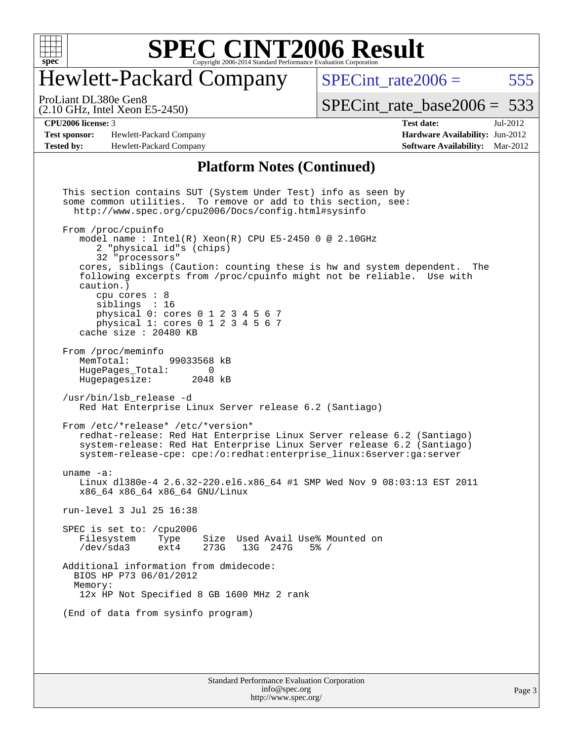

## Hewlett-Packard Company

 $SPECTnt_rate2006 = 555$ [SPECint\\_rate\\_base2006 =](http://www.spec.org/auto/cpu2006/Docs/result-fields.html#SPECintratebase2006) 533

(2.10 GHz, Intel Xeon E5-2450) ProLiant DL380e Gen8

**[Test sponsor:](http://www.spec.org/auto/cpu2006/Docs/result-fields.html#Testsponsor)** Hewlett-Packard Company **[Hardware Availability:](http://www.spec.org/auto/cpu2006/Docs/result-fields.html#HardwareAvailability)** Jun-2012 **[Tested by:](http://www.spec.org/auto/cpu2006/Docs/result-fields.html#Testedby)** Hewlett-Packard Company **[Software Availability:](http://www.spec.org/auto/cpu2006/Docs/result-fields.html#SoftwareAvailability)** Mar-2012

**[CPU2006 license:](http://www.spec.org/auto/cpu2006/Docs/result-fields.html#CPU2006license)** 3 **[Test date:](http://www.spec.org/auto/cpu2006/Docs/result-fields.html#Testdate)** Jul-2012

#### **[Platform Notes \(Continued\)](http://www.spec.org/auto/cpu2006/Docs/result-fields.html#PlatformNotes)**

Standard Performance Evaluation Corporation This section contains SUT (System Under Test) info as seen by some common utilities. To remove or add to this section, see: <http://www.spec.org/cpu2006/Docs/config.html#sysinfo> From /proc/cpuinfo model name : Intel(R)  $Xeon(R)$  CPU E5-2450 0 @ 2.10GHz 2 "physical id"s (chips) 32 "processors" cores, siblings (Caution: counting these is hw and system dependent. The following excerpts from /proc/cpuinfo might not be reliable. Use with caution.) cpu cores : 8 siblings : 16 physical 0: cores 0 1 2 3 4 5 6 7 physical 1: cores 0 1 2 3 4 5 6 7 cache size : 20480 KB From /proc/meminfo<br>MemTotal: 99033568 kB HugePages\_Total: 0 Hugepagesize: 2048 kB /usr/bin/lsb\_release -d Red Hat Enterprise Linux Server release 6.2 (Santiago) From /etc/\*release\* /etc/\*version\* redhat-release: Red Hat Enterprise Linux Server release 6.2 (Santiago) system-release: Red Hat Enterprise Linux Server release 6.2 (Santiago) system-release-cpe: cpe:/o:redhat:enterprise\_linux:6server:ga:server uname -a: Linux dl380e-4 2.6.32-220.el6.x86\_64 #1 SMP Wed Nov 9 08:03:13 EST 2011 x86\_64 x86\_64 x86\_64 GNU/Linux run-level 3 Jul 25 16:38 SPEC is set to: /cpu2006<br>Filesystem Type Size Used Avail Use% Mounted on /dev/sda3 ext4 273G 13G 247G 5% / Additional information from dmidecode: BIOS HP P73 06/01/2012 Memory: 12x HP Not Specified 8 GB 1600 MHz 2 rank (End of data from sysinfo program)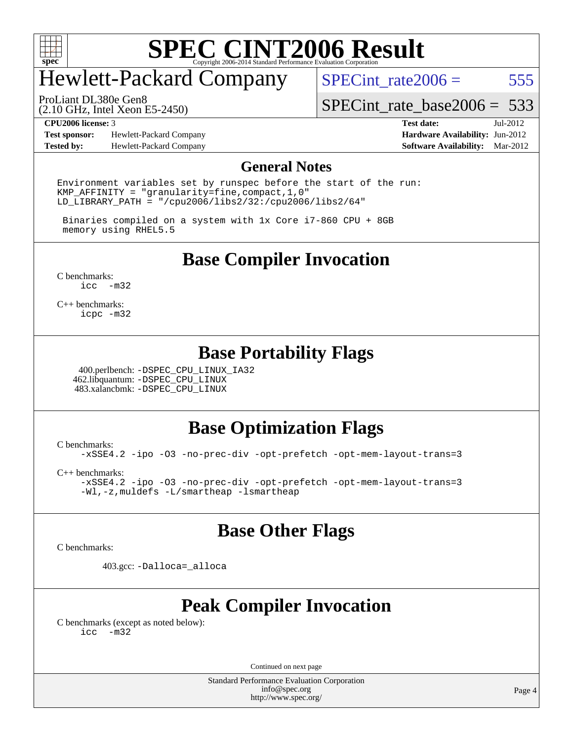

# Hewlett-Packard Company

SPECint rate $2006 = 555$ 

(2.10 GHz, Intel Xeon E5-2450) ProLiant DL380e Gen8

[SPECint\\_rate\\_base2006 =](http://www.spec.org/auto/cpu2006/Docs/result-fields.html#SPECintratebase2006) 533

**[Test sponsor:](http://www.spec.org/auto/cpu2006/Docs/result-fields.html#Testsponsor)** Hewlett-Packard Company **[Hardware Availability:](http://www.spec.org/auto/cpu2006/Docs/result-fields.html#HardwareAvailability)** Jun-2012 **[Tested by:](http://www.spec.org/auto/cpu2006/Docs/result-fields.html#Testedby)** Hewlett-Packard Company **[Software Availability:](http://www.spec.org/auto/cpu2006/Docs/result-fields.html#SoftwareAvailability)** Mar-2012

**[CPU2006 license:](http://www.spec.org/auto/cpu2006/Docs/result-fields.html#CPU2006license)** 3 **[Test date:](http://www.spec.org/auto/cpu2006/Docs/result-fields.html#Testdate)** Jul-2012

#### **[General Notes](http://www.spec.org/auto/cpu2006/Docs/result-fields.html#GeneralNotes)**

Environment variables set by runspec before the start of the run: KMP AFFINITY = "granularity=fine, compact,  $1,0$ " LD\_LIBRARY\_PATH = "/cpu2006/libs2/32:/cpu2006/libs2/64"

 Binaries compiled on a system with 1x Core i7-860 CPU + 8GB memory using RHEL5.5

**[Base Compiler Invocation](http://www.spec.org/auto/cpu2006/Docs/result-fields.html#BaseCompilerInvocation)**

[C benchmarks](http://www.spec.org/auto/cpu2006/Docs/result-fields.html#Cbenchmarks): [icc -m32](http://www.spec.org/cpu2006/results/res2012q3/cpu2006-20120730-23962.flags.html#user_CCbase_intel_icc_5ff4a39e364c98233615fdd38438c6f2)

[C++ benchmarks:](http://www.spec.org/auto/cpu2006/Docs/result-fields.html#CXXbenchmarks) [icpc -m32](http://www.spec.org/cpu2006/results/res2012q3/cpu2006-20120730-23962.flags.html#user_CXXbase_intel_icpc_4e5a5ef1a53fd332b3c49e69c3330699)

#### **[Base Portability Flags](http://www.spec.org/auto/cpu2006/Docs/result-fields.html#BasePortabilityFlags)**

 400.perlbench: [-DSPEC\\_CPU\\_LINUX\\_IA32](http://www.spec.org/cpu2006/results/res2012q3/cpu2006-20120730-23962.flags.html#b400.perlbench_baseCPORTABILITY_DSPEC_CPU_LINUX_IA32) 462.libquantum: [-DSPEC\\_CPU\\_LINUX](http://www.spec.org/cpu2006/results/res2012q3/cpu2006-20120730-23962.flags.html#b462.libquantum_baseCPORTABILITY_DSPEC_CPU_LINUX) 483.xalancbmk: [-DSPEC\\_CPU\\_LINUX](http://www.spec.org/cpu2006/results/res2012q3/cpu2006-20120730-23962.flags.html#b483.xalancbmk_baseCXXPORTABILITY_DSPEC_CPU_LINUX)

#### **[Base Optimization Flags](http://www.spec.org/auto/cpu2006/Docs/result-fields.html#BaseOptimizationFlags)**

[C benchmarks](http://www.spec.org/auto/cpu2006/Docs/result-fields.html#Cbenchmarks):

[-xSSE4.2](http://www.spec.org/cpu2006/results/res2012q3/cpu2006-20120730-23962.flags.html#user_CCbase_f-xSSE42_f91528193cf0b216347adb8b939d4107) [-ipo](http://www.spec.org/cpu2006/results/res2012q3/cpu2006-20120730-23962.flags.html#user_CCbase_f-ipo) [-O3](http://www.spec.org/cpu2006/results/res2012q3/cpu2006-20120730-23962.flags.html#user_CCbase_f-O3) [-no-prec-div](http://www.spec.org/cpu2006/results/res2012q3/cpu2006-20120730-23962.flags.html#user_CCbase_f-no-prec-div) [-opt-prefetch](http://www.spec.org/cpu2006/results/res2012q3/cpu2006-20120730-23962.flags.html#user_CCbase_f-opt-prefetch) [-opt-mem-layout-trans=3](http://www.spec.org/cpu2006/results/res2012q3/cpu2006-20120730-23962.flags.html#user_CCbase_f-opt-mem-layout-trans_a7b82ad4bd7abf52556d4961a2ae94d5)

[C++ benchmarks:](http://www.spec.org/auto/cpu2006/Docs/result-fields.html#CXXbenchmarks)

[-xSSE4.2](http://www.spec.org/cpu2006/results/res2012q3/cpu2006-20120730-23962.flags.html#user_CXXbase_f-xSSE42_f91528193cf0b216347adb8b939d4107) [-ipo](http://www.spec.org/cpu2006/results/res2012q3/cpu2006-20120730-23962.flags.html#user_CXXbase_f-ipo) [-O3](http://www.spec.org/cpu2006/results/res2012q3/cpu2006-20120730-23962.flags.html#user_CXXbase_f-O3) [-no-prec-div](http://www.spec.org/cpu2006/results/res2012q3/cpu2006-20120730-23962.flags.html#user_CXXbase_f-no-prec-div) [-opt-prefetch](http://www.spec.org/cpu2006/results/res2012q3/cpu2006-20120730-23962.flags.html#user_CXXbase_f-opt-prefetch) [-opt-mem-layout-trans=3](http://www.spec.org/cpu2006/results/res2012q3/cpu2006-20120730-23962.flags.html#user_CXXbase_f-opt-mem-layout-trans_a7b82ad4bd7abf52556d4961a2ae94d5) [-Wl,-z,muldefs](http://www.spec.org/cpu2006/results/res2012q3/cpu2006-20120730-23962.flags.html#user_CXXbase_link_force_multiple1_74079c344b956b9658436fd1b6dd3a8a) [-L/smartheap -lsmartheap](http://www.spec.org/cpu2006/results/res2012q3/cpu2006-20120730-23962.flags.html#user_CXXbase_SmartHeap_7c9e394a5779e1a7fec7c221e123830c)

#### **[Base Other Flags](http://www.spec.org/auto/cpu2006/Docs/result-fields.html#BaseOtherFlags)**

[C benchmarks](http://www.spec.org/auto/cpu2006/Docs/result-fields.html#Cbenchmarks):

403.gcc: [-Dalloca=\\_alloca](http://www.spec.org/cpu2006/results/res2012q3/cpu2006-20120730-23962.flags.html#b403.gcc_baseEXTRA_CFLAGS_Dalloca_be3056838c12de2578596ca5467af7f3)

#### **[Peak Compiler Invocation](http://www.spec.org/auto/cpu2006/Docs/result-fields.html#PeakCompilerInvocation)**

[C benchmarks \(except as noted below\)](http://www.spec.org/auto/cpu2006/Docs/result-fields.html#Cbenchmarksexceptasnotedbelow): [icc -m32](http://www.spec.org/cpu2006/results/res2012q3/cpu2006-20120730-23962.flags.html#user_CCpeak_intel_icc_5ff4a39e364c98233615fdd38438c6f2)

Continued on next page

Standard Performance Evaluation Corporation [info@spec.org](mailto:info@spec.org) <http://www.spec.org/>

Page 4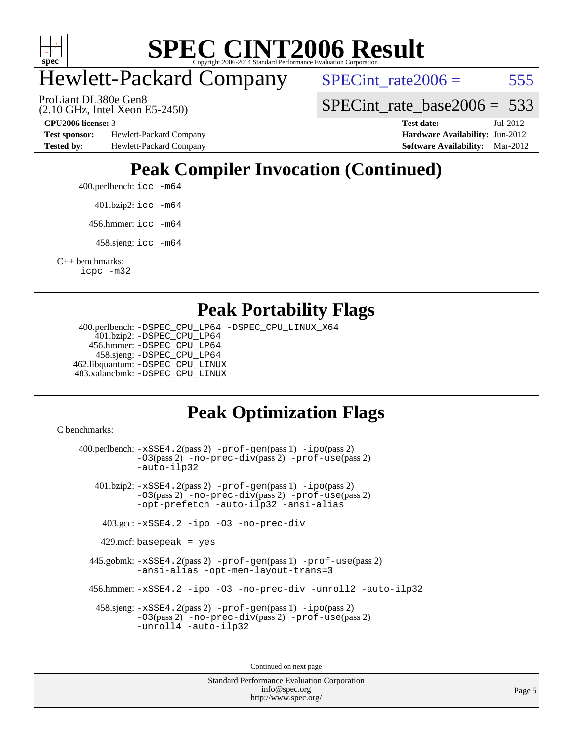

# Hewlett-Packard Company

 $SPECTnt_rate2006 = 555$ 

(2.10 GHz, Intel Xeon E5-2450) ProLiant DL380e Gen8

SPECint rate base  $2006 = 533$ 

**[Test sponsor:](http://www.spec.org/auto/cpu2006/Docs/result-fields.html#Testsponsor)** Hewlett-Packard Company **[Hardware Availability:](http://www.spec.org/auto/cpu2006/Docs/result-fields.html#HardwareAvailability)** Jun-2012 **[Tested by:](http://www.spec.org/auto/cpu2006/Docs/result-fields.html#Testedby)** Hewlett-Packard Company **[Software Availability:](http://www.spec.org/auto/cpu2006/Docs/result-fields.html#SoftwareAvailability)** Mar-2012

**[CPU2006 license:](http://www.spec.org/auto/cpu2006/Docs/result-fields.html#CPU2006license)** 3 **[Test date:](http://www.spec.org/auto/cpu2006/Docs/result-fields.html#Testdate)** Jul-2012

### **[Peak Compiler Invocation \(Continued\)](http://www.spec.org/auto/cpu2006/Docs/result-fields.html#PeakCompilerInvocation)**

- 400.perlbench: [icc -m64](http://www.spec.org/cpu2006/results/res2012q3/cpu2006-20120730-23962.flags.html#user_peakCCLD400_perlbench_intel_icc_64bit_bda6cc9af1fdbb0edc3795bac97ada53)
	- 401.bzip2: [icc -m64](http://www.spec.org/cpu2006/results/res2012q3/cpu2006-20120730-23962.flags.html#user_peakCCLD401_bzip2_intel_icc_64bit_bda6cc9af1fdbb0edc3795bac97ada53)
	- 456.hmmer: [icc -m64](http://www.spec.org/cpu2006/results/res2012q3/cpu2006-20120730-23962.flags.html#user_peakCCLD456_hmmer_intel_icc_64bit_bda6cc9af1fdbb0edc3795bac97ada53)
	- 458.sjeng: [icc -m64](http://www.spec.org/cpu2006/results/res2012q3/cpu2006-20120730-23962.flags.html#user_peakCCLD458_sjeng_intel_icc_64bit_bda6cc9af1fdbb0edc3795bac97ada53)

[C++ benchmarks:](http://www.spec.org/auto/cpu2006/Docs/result-fields.html#CXXbenchmarks) [icpc -m32](http://www.spec.org/cpu2006/results/res2012q3/cpu2006-20120730-23962.flags.html#user_CXXpeak_intel_icpc_4e5a5ef1a53fd332b3c49e69c3330699)

#### **[Peak Portability Flags](http://www.spec.org/auto/cpu2006/Docs/result-fields.html#PeakPortabilityFlags)**

 400.perlbench: [-DSPEC\\_CPU\\_LP64](http://www.spec.org/cpu2006/results/res2012q3/cpu2006-20120730-23962.flags.html#b400.perlbench_peakCPORTABILITY_DSPEC_CPU_LP64) [-DSPEC\\_CPU\\_LINUX\\_X64](http://www.spec.org/cpu2006/results/res2012q3/cpu2006-20120730-23962.flags.html#b400.perlbench_peakCPORTABILITY_DSPEC_CPU_LINUX_X64) 401.bzip2: [-DSPEC\\_CPU\\_LP64](http://www.spec.org/cpu2006/results/res2012q3/cpu2006-20120730-23962.flags.html#suite_peakCPORTABILITY401_bzip2_DSPEC_CPU_LP64) 456.hmmer: [-DSPEC\\_CPU\\_LP64](http://www.spec.org/cpu2006/results/res2012q3/cpu2006-20120730-23962.flags.html#suite_peakCPORTABILITY456_hmmer_DSPEC_CPU_LP64) 458.sjeng: [-DSPEC\\_CPU\\_LP64](http://www.spec.org/cpu2006/results/res2012q3/cpu2006-20120730-23962.flags.html#suite_peakCPORTABILITY458_sjeng_DSPEC_CPU_LP64) 462.libquantum: [-DSPEC\\_CPU\\_LINUX](http://www.spec.org/cpu2006/results/res2012q3/cpu2006-20120730-23962.flags.html#b462.libquantum_peakCPORTABILITY_DSPEC_CPU_LINUX) 483.xalancbmk: [-DSPEC\\_CPU\\_LINUX](http://www.spec.org/cpu2006/results/res2012q3/cpu2006-20120730-23962.flags.html#b483.xalancbmk_peakCXXPORTABILITY_DSPEC_CPU_LINUX)

### **[Peak Optimization Flags](http://www.spec.org/auto/cpu2006/Docs/result-fields.html#PeakOptimizationFlags)**

[C benchmarks](http://www.spec.org/auto/cpu2006/Docs/result-fields.html#Cbenchmarks):

 400.perlbench: [-xSSE4.2](http://www.spec.org/cpu2006/results/res2012q3/cpu2006-20120730-23962.flags.html#user_peakPASS2_CFLAGSPASS2_LDCFLAGS400_perlbench_f-xSSE42_f91528193cf0b216347adb8b939d4107)(pass 2) [-prof-gen](http://www.spec.org/cpu2006/results/res2012q3/cpu2006-20120730-23962.flags.html#user_peakPASS1_CFLAGSPASS1_LDCFLAGS400_perlbench_prof_gen_e43856698f6ca7b7e442dfd80e94a8fc)(pass 1) [-ipo](http://www.spec.org/cpu2006/results/res2012q3/cpu2006-20120730-23962.flags.html#user_peakPASS2_CFLAGSPASS2_LDCFLAGS400_perlbench_f-ipo)(pass 2) [-O3](http://www.spec.org/cpu2006/results/res2012q3/cpu2006-20120730-23962.flags.html#user_peakPASS2_CFLAGSPASS2_LDCFLAGS400_perlbench_f-O3)(pass 2) [-no-prec-div](http://www.spec.org/cpu2006/results/res2012q3/cpu2006-20120730-23962.flags.html#user_peakPASS2_CFLAGSPASS2_LDCFLAGS400_perlbench_f-no-prec-div)(pass 2) [-prof-use](http://www.spec.org/cpu2006/results/res2012q3/cpu2006-20120730-23962.flags.html#user_peakPASS2_CFLAGSPASS2_LDCFLAGS400_perlbench_prof_use_bccf7792157ff70d64e32fe3e1250b55)(pass 2) [-auto-ilp32](http://www.spec.org/cpu2006/results/res2012q3/cpu2006-20120730-23962.flags.html#user_peakCOPTIMIZE400_perlbench_f-auto-ilp32) 401.bzip2: [-xSSE4.2](http://www.spec.org/cpu2006/results/res2012q3/cpu2006-20120730-23962.flags.html#user_peakPASS2_CFLAGSPASS2_LDCFLAGS401_bzip2_f-xSSE42_f91528193cf0b216347adb8b939d4107)(pass 2) [-prof-gen](http://www.spec.org/cpu2006/results/res2012q3/cpu2006-20120730-23962.flags.html#user_peakPASS1_CFLAGSPASS1_LDCFLAGS401_bzip2_prof_gen_e43856698f6ca7b7e442dfd80e94a8fc)(pass 1) [-ipo](http://www.spec.org/cpu2006/results/res2012q3/cpu2006-20120730-23962.flags.html#user_peakPASS2_CFLAGSPASS2_LDCFLAGS401_bzip2_f-ipo)(pass 2) [-O3](http://www.spec.org/cpu2006/results/res2012q3/cpu2006-20120730-23962.flags.html#user_peakPASS2_CFLAGSPASS2_LDCFLAGS401_bzip2_f-O3)(pass 2) [-no-prec-div](http://www.spec.org/cpu2006/results/res2012q3/cpu2006-20120730-23962.flags.html#user_peakPASS2_CFLAGSPASS2_LDCFLAGS401_bzip2_f-no-prec-div)(pass 2) [-prof-use](http://www.spec.org/cpu2006/results/res2012q3/cpu2006-20120730-23962.flags.html#user_peakPASS2_CFLAGSPASS2_LDCFLAGS401_bzip2_prof_use_bccf7792157ff70d64e32fe3e1250b55)(pass 2) [-opt-prefetch](http://www.spec.org/cpu2006/results/res2012q3/cpu2006-20120730-23962.flags.html#user_peakCOPTIMIZE401_bzip2_f-opt-prefetch) [-auto-ilp32](http://www.spec.org/cpu2006/results/res2012q3/cpu2006-20120730-23962.flags.html#user_peakCOPTIMIZE401_bzip2_f-auto-ilp32) [-ansi-alias](http://www.spec.org/cpu2006/results/res2012q3/cpu2006-20120730-23962.flags.html#user_peakCOPTIMIZE401_bzip2_f-ansi-alias) 403.gcc: [-xSSE4.2](http://www.spec.org/cpu2006/results/res2012q3/cpu2006-20120730-23962.flags.html#user_peakCOPTIMIZE403_gcc_f-xSSE42_f91528193cf0b216347adb8b939d4107) [-ipo](http://www.spec.org/cpu2006/results/res2012q3/cpu2006-20120730-23962.flags.html#user_peakCOPTIMIZE403_gcc_f-ipo) [-O3](http://www.spec.org/cpu2006/results/res2012q3/cpu2006-20120730-23962.flags.html#user_peakCOPTIMIZE403_gcc_f-O3) [-no-prec-div](http://www.spec.org/cpu2006/results/res2012q3/cpu2006-20120730-23962.flags.html#user_peakCOPTIMIZE403_gcc_f-no-prec-div)  $429$ .mcf: basepeak = yes 445.gobmk: [-xSSE4.2](http://www.spec.org/cpu2006/results/res2012q3/cpu2006-20120730-23962.flags.html#user_peakPASS2_CFLAGSPASS2_LDCFLAGS445_gobmk_f-xSSE42_f91528193cf0b216347adb8b939d4107)(pass 2) [-prof-gen](http://www.spec.org/cpu2006/results/res2012q3/cpu2006-20120730-23962.flags.html#user_peakPASS1_CFLAGSPASS1_LDCFLAGS445_gobmk_prof_gen_e43856698f6ca7b7e442dfd80e94a8fc)(pass 1) [-prof-use](http://www.spec.org/cpu2006/results/res2012q3/cpu2006-20120730-23962.flags.html#user_peakPASS2_CFLAGSPASS2_LDCFLAGS445_gobmk_prof_use_bccf7792157ff70d64e32fe3e1250b55)(pass 2) [-ansi-alias](http://www.spec.org/cpu2006/results/res2012q3/cpu2006-20120730-23962.flags.html#user_peakCOPTIMIZE445_gobmk_f-ansi-alias) [-opt-mem-layout-trans=3](http://www.spec.org/cpu2006/results/res2012q3/cpu2006-20120730-23962.flags.html#user_peakCOPTIMIZE445_gobmk_f-opt-mem-layout-trans_a7b82ad4bd7abf52556d4961a2ae94d5) 456.hmmer: [-xSSE4.2](http://www.spec.org/cpu2006/results/res2012q3/cpu2006-20120730-23962.flags.html#user_peakCOPTIMIZE456_hmmer_f-xSSE42_f91528193cf0b216347adb8b939d4107) [-ipo](http://www.spec.org/cpu2006/results/res2012q3/cpu2006-20120730-23962.flags.html#user_peakCOPTIMIZE456_hmmer_f-ipo) [-O3](http://www.spec.org/cpu2006/results/res2012q3/cpu2006-20120730-23962.flags.html#user_peakCOPTIMIZE456_hmmer_f-O3) [-no-prec-div](http://www.spec.org/cpu2006/results/res2012q3/cpu2006-20120730-23962.flags.html#user_peakCOPTIMIZE456_hmmer_f-no-prec-div) [-unroll2](http://www.spec.org/cpu2006/results/res2012q3/cpu2006-20120730-23962.flags.html#user_peakCOPTIMIZE456_hmmer_f-unroll_784dae83bebfb236979b41d2422d7ec2) [-auto-ilp32](http://www.spec.org/cpu2006/results/res2012q3/cpu2006-20120730-23962.flags.html#user_peakCOPTIMIZE456_hmmer_f-auto-ilp32) 458.sjeng: [-xSSE4.2](http://www.spec.org/cpu2006/results/res2012q3/cpu2006-20120730-23962.flags.html#user_peakPASS2_CFLAGSPASS2_LDCFLAGS458_sjeng_f-xSSE42_f91528193cf0b216347adb8b939d4107)(pass 2) [-prof-gen](http://www.spec.org/cpu2006/results/res2012q3/cpu2006-20120730-23962.flags.html#user_peakPASS1_CFLAGSPASS1_LDCFLAGS458_sjeng_prof_gen_e43856698f6ca7b7e442dfd80e94a8fc)(pass 1) [-ipo](http://www.spec.org/cpu2006/results/res2012q3/cpu2006-20120730-23962.flags.html#user_peakPASS2_CFLAGSPASS2_LDCFLAGS458_sjeng_f-ipo)(pass 2) [-O3](http://www.spec.org/cpu2006/results/res2012q3/cpu2006-20120730-23962.flags.html#user_peakPASS2_CFLAGSPASS2_LDCFLAGS458_sjeng_f-O3)(pass 2) [-no-prec-div](http://www.spec.org/cpu2006/results/res2012q3/cpu2006-20120730-23962.flags.html#user_peakPASS2_CFLAGSPASS2_LDCFLAGS458_sjeng_f-no-prec-div)(pass 2) [-prof-use](http://www.spec.org/cpu2006/results/res2012q3/cpu2006-20120730-23962.flags.html#user_peakPASS2_CFLAGSPASS2_LDCFLAGS458_sjeng_prof_use_bccf7792157ff70d64e32fe3e1250b55)(pass 2) [-unroll4](http://www.spec.org/cpu2006/results/res2012q3/cpu2006-20120730-23962.flags.html#user_peakCOPTIMIZE458_sjeng_f-unroll_4e5e4ed65b7fd20bdcd365bec371b81f) [-auto-ilp32](http://www.spec.org/cpu2006/results/res2012q3/cpu2006-20120730-23962.flags.html#user_peakCOPTIMIZE458_sjeng_f-auto-ilp32) Continued on next page

> Standard Performance Evaluation Corporation [info@spec.org](mailto:info@spec.org) <http://www.spec.org/>

Page 5